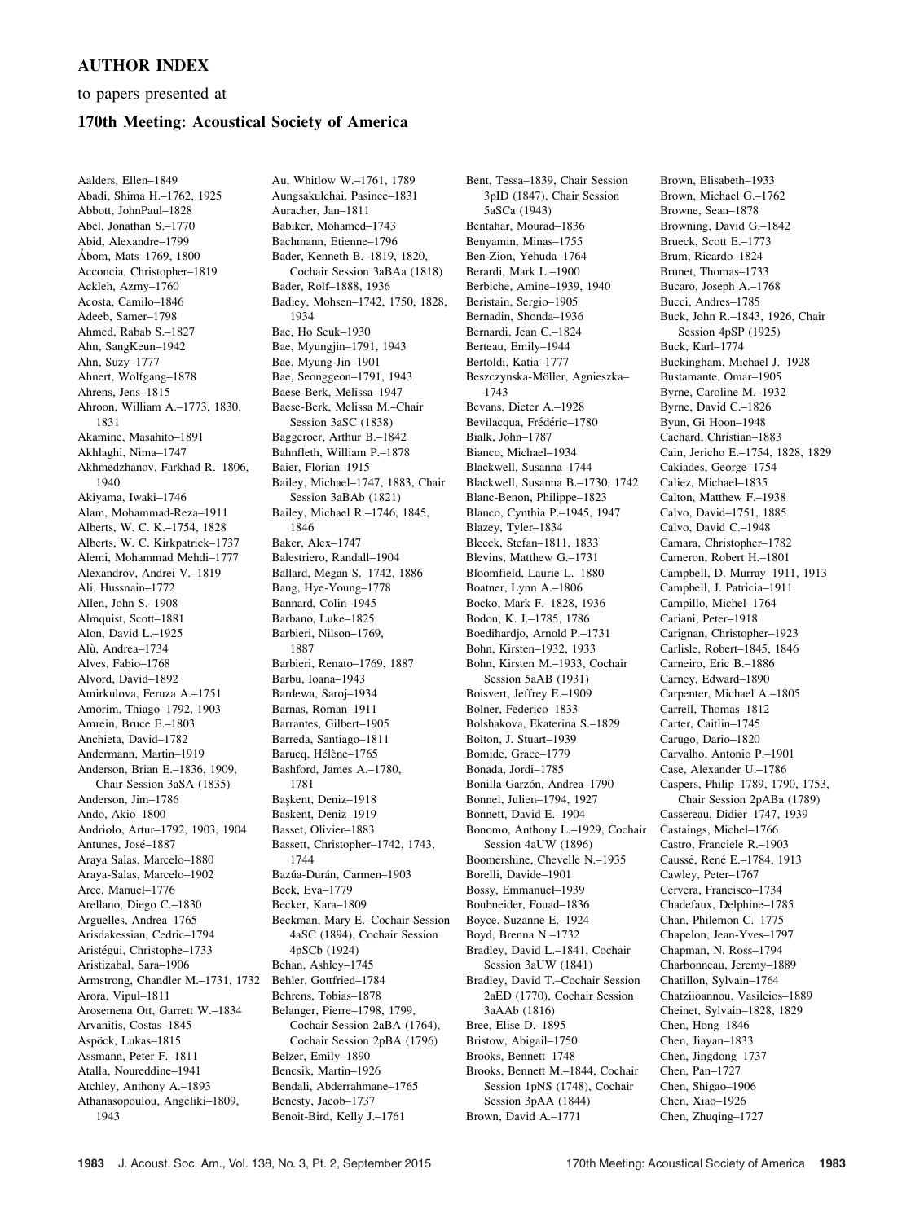## AUTHOR INDEX

to papers presented at

## 170th Meeting: Acoustical Society of America

Aalders, Ellen–1849 Abadi, Shima H.–1762, 1925 Abbott, JohnPaul–1828 Abel, Jonathan S.–1770 Abid, Alexandre–1799 Åbom, Mats-1769, 1800 Acconcia, Christopher–1819 Ackleh, Azmy–1760 Acosta, Camilo–1846 Adeeb, Samer–1798 Ahmed, Rabab S.–1827 Ahn, SangKeun–1942 Ahn, Suzy–1777 Ahnert, Wolfgang–1878 Ahrens, Jens–1815 Ahroon, William A.–1773, 1830, 1831 Akamine, Masahito–1891 Akhlaghi, Nima–1747 Akhmedzhanov, Farkhad R.–1806, 1940 Akiyama, Iwaki–1746 Alam, Mohammad-Reza–1911 Alberts, W. C. K.–1754, 1828 Alberts, W. C. Kirkpatrick–1737 Alemi, Mohammad Mehdi–1777 Alexandrov, Andrei V.–1819 Ali, Hussnain–1772 Allen, John S.–1908 Almquist, Scott–1881 Alon, David L.–1925 Alù, Andrea-1734 Alves, Fabio–1768 Alvord, David–1892 Amirkulova, Feruza A.–1751 Amorim, Thiago–1792, 1903 Amrein, Bruce E.–1803 Anchieta, David–1782 Andermann, Martin–1919 Anderson, Brian E.–1836, 1909, Chair Session 3aSA (1835) Anderson, Jim–1786 Ando, Akio–1800 Andriolo, Artur–1792, 1903, 1904 Antunes, José-1887 Araya Salas, Marcelo–1880 Araya-Salas, Marcelo–1902 Arce, Manuel–1776 Arellano, Diego C.–1830 Arguelles, Andrea–1765 Arisdakessian, Cedric–1794 Aristégui, Christophe–1733 Aristizabal, Sara–1906 Armstrong, Chandler M.–1731, 1732 Arora, Vipul–1811 Arosemena Ott, Garrett W.–1834 Arvanitis, Costas–1845 Aspöck, Lukas–1815 Assmann, Peter F.–1811 Atalla, Noureddine–1941 Atchley, Anthony A.–1893 Athanasopoulou, Angeliki–1809, 1943

Au, Whitlow W.–1761, 1789 Aungsakulchai, Pasinee–1831 Auracher, Jan–1811 Babiker, Mohamed–1743 Bachmann, Etienne–1796 Bader, Kenneth B.–1819, 1820, Cochair Session 3aBAa (1818) Bader, Rolf–1888, 1936 Badiey, Mohsen–1742, 1750, 1828, 1934 Bae, Ho Seuk–1930 Bae, Myungjin–1791, 1943 Bae, Myung-Jin–1901 Bae, Seonggeon–1791, 1943 Baese-Berk, Melissa–1947 Baese-Berk, Melissa M.–Chair Session 3aSC (1838) Baggeroer, Arthur B.–1842 Bahnfleth, William P.–1878 Baier, Florian–1915 Bailey, Michael–1747, 1883, Chair Session 3aBAb (1821) Bailey, Michael R.–1746, 1845, 1846 Baker, Alex–1747 Balestriero, Randall–1904 Ballard, Megan S.–1742, 1886 Bang, Hye-Young–1778 Bannard, Colin–1945 Barbano, Luke–1825 Barbieri, Nilson–1769, 1887 Barbieri, Renato–1769, 1887 Barbu, Ioana–1943 Bardewa, Saroj–1934 Barnas, Roman–1911 Barrantes, Gilbert–1905 Barreda, Santiago–1811 Barucq, Hélène–1765 Bashford, James A.–1780, 1781 Baskent, Deniz-1918 Baskent, Deniz–1919 Basset, Olivier–1883 Bassett, Christopher–1742, 1743, 1744 Bazúa-Durán, Carmen-1903 Beck, Eva–1779 Becker, Kara–1809 Beckman, Mary E.–Cochair Session 4aSC (1894), Cochair Session 4pSCb (1924) Behan, Ashley–1745 Behler, Gottfried–1784 Behrens, Tobias–1878 Belanger, Pierre–1798, 1799, Cochair Session 2aBA (1764), Cochair Session 2pBA (1796) Belzer, Emily–1890 Bencsik, Martin–1926 Bendali, Abderrahmane–1765 Benesty, Jacob–1737 Benoit-Bird, Kelly J.–1761

Bent, Tessa–1839, Chair Session 3pID (1847), Chair Session 5aSCa (1943) Bentahar, Mourad–1836 Benyamin, Minas–1755 Ben-Zion, Yehuda–1764 Berardi, Mark L.–1900 Berbiche, Amine–1939, 1940 Beristain, Sergio–1905 Bernadin, Shonda–1936 Bernardi, Jean C.–1824 Berteau, Emily–1944 Bertoldi, Katia–1777 Beszczynska-Möller, Agnieszka-1743 Bevans, Dieter A.–1928 Bevilacqua, Frédéric-1780 Bialk, John–1787 Bianco, Michael–1934 Blackwell, Susanna–1744 Blackwell, Susanna B.–1730, 1742 Blanc-Benon, Philippe–1823 Blanco, Cynthia P.–1945, 1947 Blazey, Tyler–1834 Bleeck, Stefan–1811, 1833 Blevins, Matthew G.–1731 Bloomfield, Laurie L.–1880 Boatner, Lynn A.–1806 Bocko, Mark F.–1828, 1936 Bodon, K. J.–1785, 1786 Boedihardjo, Arnold P.–1731 Bohn, Kirsten–1932, 1933 Bohn, Kirsten M.–1933, Cochair Session 5aAB (1931) Boisvert, Jeffrey E.–1909 Bolner, Federico–1833 Bolshakova, Ekaterina S.–1829 Bolton, J. Stuart–1939 Bomide, Grace–1779 Bonada, Jordi–1785 Bonilla-Garzón, Andrea-1790 Bonnel, Julien–1794, 1927 Bonnett, David E.–1904 Bonomo, Anthony L.–1929, Cochair Session 4aUW (1896) Boomershine, Chevelle N.–1935 Borelli, Davide–1901 Bossy, Emmanuel–1939 Boubneider, Fouad–1836 Boyce, Suzanne E.–1924 Boyd, Brenna N.–1732 Bradley, David L.–1841, Cochair Session 3aUW (1841) Bradley, David T.–Cochair Session 2aED (1770), Cochair Session 3aAAb (1816) Bree, Elise D.–1895 Bristow, Abigail–1750 Brooks, Bennett–1748 Brooks, Bennett M.–1844, Cochair Session 1pNS (1748), Cochair Session 3pAA (1844) Brown, David A.–1771

Brown, Elisabeth–1933 Brown, Michael G.–1762 Browne, Sean–1878 Browning, David G.–1842 Brueck, Scott E.–1773 Brum, Ricardo–1824 Brunet, Thomas–1733 Bucaro, Joseph A.–1768 Bucci, Andres–1785 Buck, John R.–1843, 1926, Chair Session 4pSP (1925) Buck, Karl–1774 Buckingham, Michael J.–1928 Bustamante, Omar–1905 Byrne, Caroline M.–1932 Byrne, David C.–1826 Byun, Gi Hoon–1948 Cachard, Christian–1883 Cain, Jericho E.–1754, 1828, 1829 Cakiades, George–1754 Caliez, Michael–1835 Calton, Matthew F.–1938 Calvo, David–1751, 1885 Calvo, David C.–1948 Camara, Christopher–1782 Cameron, Robert H.–1801 Campbell, D. Murray–1911, 1913 Campbell, J. Patricia–1911 Campillo, Michel–1764 Cariani, Peter–1918 Carignan, Christopher–1923 Carlisle, Robert–1845, 1846 Carneiro, Eric B.–1886 Carney, Edward–1890 Carpenter, Michael A.–1805 Carrell, Thomas–1812 Carter, Caitlin–1745 Carugo, Dario–1820 Carvalho, Antonio P.–1901 Case, Alexander U.–1786 Caspers, Philip–1789, 1790, 1753, Chair Session 2pABa (1789) Cassereau, Didier–1747, 1939 Castaings, Michel–1766 Castro, Franciele R.–1903 Caussé, René E.–1784, 1913 Cawley, Peter–1767 Cervera, Francisco–1734 Chadefaux, Delphine–1785 Chan, Philemon C.–1775 Chapelon, Jean-Yves–1797 Chapman, N. Ross–1794 Charbonneau, Jeremy–1889 Chatillon, Sylvain–1764 Chatziioannou, Vasileios–1889 Cheinet, Sylvain–1828, 1829 Chen, Hong–1846 Chen, Jiayan–1833 Chen, Jingdong–1737 Chen, Pan–1727 Chen, Shigao–1906 Chen, Xiao–1926 Chen, Zhuqing–1727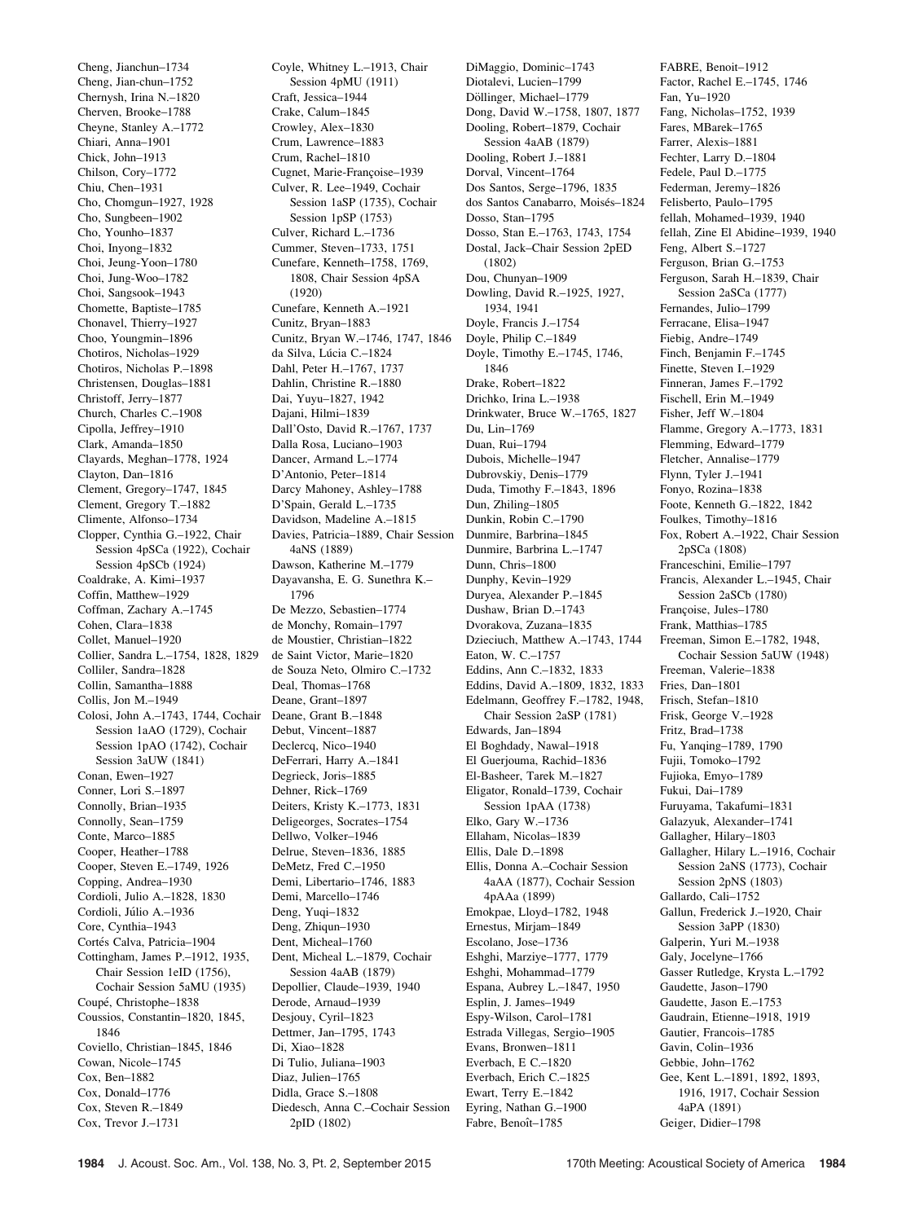Cheng, Jianchun–1734 Cheng, Jian-chun–1752 Chernysh, Irina N.–1820 Cherven, Brooke–1788 Cheyne, Stanley A.–1772 Chiari, Anna–1901 Chick, John–1913 Chilson, Cory–1772 Chiu, Chen–1931 Cho, Chomgun–1927, 1928 Cho, Sungbeen–1902 Cho, Younho–1837 Choi, Inyong–1832 Choi, Jeung-Yoon–1780 Choi, Jung-Woo–1782 Choi, Sangsook–1943 Chomette, Baptiste–1785 Chonavel, Thierry–1927 Choo, Youngmin–1896 Chotiros, Nicholas–1929 Chotiros, Nicholas P.–1898 Christensen, Douglas–1881 Christoff, Jerry–1877 Church, Charles C.–1908 Cipolla, Jeffrey–1910 Clark, Amanda–1850 Clayards, Meghan–1778, 1924 Clayton, Dan–1816 Clement, Gregory–1747, 1845 Clement, Gregory T.–1882 Climente, Alfonso–1734 Clopper, Cynthia G.–1922, Chair Session 4pSCa (1922), Cochair Session 4pSCb (1924) Coaldrake, A. Kimi–1937 Coffin, Matthew–1929 Coffman, Zachary A.–1745 Cohen, Clara–1838 Collet, Manuel–1920 Collier, Sandra L.–1754, 1828, 1829 Colliler, Sandra–1828 Collin, Samantha–1888 Collis, Jon M.–1949 Colosi, John A.–1743, 1744, Cochair Session 1aAO (1729), Cochair Session 1pAO (1742), Cochair Session 3aUW (1841) Conan, Ewen–1927 Conner, Lori S.–1897 Connolly, Brian–1935 Connolly, Sean–1759 Conte, Marco–1885 Cooper, Heather–1788 Cooper, Steven E.–1749, 1926 Copping, Andrea–1930 Cordioli, Julio A.–1828, 1830 Cordioli, Júlio A.–1936 Core, Cynthia–1943 Cortés Calva, Patricia-1904 Cottingham, James P.–1912, 1935, Chair Session 1eID (1756), Cochair Session 5aMU (1935) Coupé, Christophe-1838 Coussios, Constantin–1820, 1845, 1846 Coviello, Christian–1845, 1846 Cowan, Nicole–1745 Cox, Ben–1882 Cox, Donald–1776 Cox, Steven R.–1849 Cox, Trevor J.–1731

Coyle, Whitney L.–1913, Chair Session 4pMU (1911) Craft, Jessica–1944 Crake, Calum–1845 Crowley, Alex–1830 Crum, Lawrence–1883 Crum, Rachel–1810 Cugnet, Marie-Françoise-1939 Culver, R. Lee–1949, Cochair Session 1aSP (1735), Cochair Session 1pSP (1753) Culver, Richard L.–1736 Cummer, Steven–1733, 1751 Cunefare, Kenneth–1758, 1769, 1808, Chair Session 4pSA (1920) Cunefare, Kenneth A.–1921 Cunitz, Bryan–1883 Cunitz, Bryan W.–1746, 1747, 1846 da Silva, Lúcia C.-1824 Dahl, Peter H.–1767, 1737 Dahlin, Christine R.–1880 Dai, Yuyu–1827, 1942 Dajani, Hilmi–1839 Dall'Osto, David R.–1767, 1737 Dalla Rosa, Luciano–1903 Dancer, Armand L.–1774 D'Antonio, Peter–1814 Darcy Mahoney, Ashley–1788 D'Spain, Gerald L.–1735 Davidson, Madeline A.–1815 Davies, Patricia–1889, Chair Session 4aNS (1889) Dawson, Katherine M.–1779 Dayavansha, E. G. Sunethra K.– 1796 De Mezzo, Sebastien–1774 de Monchy, Romain–1797 de Moustier, Christian–1822 de Saint Victor, Marie–1820 de Souza Neto, Olmiro C.–1732 Deal, Thomas–1768 Deane, Grant–1897 Deane, Grant B.–1848 Debut, Vincent–1887 Declercq, Nico–1940 DeFerrari, Harry A.–1841 Degrieck, Joris–1885 Dehner, Rick–1769 Deiters, Kristy K.–1773, 1831 Deligeorges, Socrates–1754 Dellwo, Volker–1946 Delrue, Steven–1836, 1885 DeMetz, Fred C.–1950 Demi, Libertario–1746, 1883 Demi, Marcello–1746 Deng, Yuqi–1832 Deng, Zhiqun–1930 Dent, Micheal–1760 Dent, Micheal L.–1879, Cochair Session 4aAB (1879) Depollier, Claude–1939, 1940 Derode, Arnaud–1939 Desjouy, Cyril–1823 Dettmer, Jan–1795, 1743 Di, Xiao–1828 Di Tulio, Juliana–1903 Diaz, Julien–1765 Didla, Grace S.–1808 Diedesch, Anna C.–Cochair Session 2pID (1802)

DiMaggio, Dominic–1743 Diotalevi, Lucien–1799 Döllinger, Michael–1779 Dong, David W.–1758, 1807, 1877 Dooling, Robert–1879, Cochair Session 4aAB (1879) Dooling, Robert J.–1881 Dorval, Vincent–1764 Dos Santos, Serge–1796, 1835 dos Santos Canabarro, Moisés-1824 Dosso, Stan–1795 Dosso, Stan E.–1763, 1743, 1754 Dostal, Jack–Chair Session 2pED (1802) Dou, Chunyan–1909 Dowling, David R.–1925, 1927, 1934, 1941 Doyle, Francis J.–1754 Doyle, Philip C.–1849 Doyle, Timothy E.–1745, 1746, 1846 Drake, Robert–1822 Drichko, Irina L.–1938 Drinkwater, Bruce W.–1765, 1827 Du, Lin–1769 Duan, Rui–1794 Dubois, Michelle–1947 Dubrovskiy, Denis–1779 Duda, Timothy F.–1843, 1896 Dun, Zhiling–1805 Dunkin, Robin C.–1790 Dunmire, Barbrina–1845 Dunmire, Barbrina L.–1747 Dunn, Chris–1800 Dunphy, Kevin–1929 Duryea, Alexander P.–1845 Dushaw, Brian D.–1743 Dvorakova, Zuzana–1835 Dzieciuch, Matthew A.–1743, 1744 Eaton, W. C.–1757 Eddins, Ann C.–1832, 1833 Eddins, David A.–1809, 1832, 1833 Edelmann, Geoffrey F.–1782, 1948, Chair Session 2aSP (1781) Edwards, Jan–1894 El Boghdady, Nawal–1918 El Guerjouma, Rachid–1836 El-Basheer, Tarek M.–1827 Eligator, Ronald–1739, Cochair Session 1pAA (1738) Elko, Gary W.–1736 Ellaham, Nicolas–1839 Ellis, Dale D.–1898 Ellis, Donna A.–Cochair Session 4aAA (1877), Cochair Session 4pAAa (1899) Emokpae, Lloyd–1782, 1948 Ernestus, Mirjam–1849 Escolano, Jose–1736 Eshghi, Marziye–1777, 1779 Eshghi, Mohammad–1779 Espana, Aubrey L.–1847, 1950 Esplin, J. James–1949 Espy-Wilson, Carol–1781 Estrada Villegas, Sergio–1905 Evans, Bronwen–1811 Everbach, E C.–1820 Everbach, Erich C.–1825 Ewart, Terry E.–1842 Eyring, Nathan G.–1900 Fabre, Benoît-1785

FABRE, Benoit–1912 Factor, Rachel E.–1745, 1746 Fan, Yu–1920 Fang, Nicholas–1752, 1939 Fares, MBarek–1765 Farrer, Alexis–1881 Fechter, Larry D.–1804 Fedele, Paul D.–1775 Federman, Jeremy–1826 Felisberto, Paulo–1795 fellah, Mohamed–1939, 1940 fellah, Zine El Abidine–1939, 1940 Feng, Albert S.–1727 Ferguson, Brian G.–1753 Ferguson, Sarah H.–1839, Chair Session 2aSCa (1777) Fernandes, Julio–1799 Ferracane, Elisa–1947 Fiebig, Andre–1749 Finch, Benjamin F.–1745 Finette, Steven I.–1929 Finneran, James F.–1792 Fischell, Erin M.–1949 Fisher, Jeff W.–1804 Flamme, Gregory A.–1773, 1831 Flemming, Edward–1779 Fletcher, Annalise–1779 Flynn, Tyler J.–1941 Fonyo, Rozina–1838 Foote, Kenneth G.–1822, 1842 Foulkes, Timothy–1816 Fox, Robert A.–1922, Chair Session 2pSCa (1808) Franceschini, Emilie–1797 Francis, Alexander L.–1945, Chair Session 2aSCb (1780) Françoise, Jules-1780 Frank, Matthias–1785 Freeman, Simon E.–1782, 1948, Cochair Session 5aUW (1948) Freeman, Valerie–1838 Fries, Dan–1801 Frisch, Stefan–1810 Frisk, George V.–1928 Fritz, Brad–1738 Fu, Yanqing–1789, 1790 Fujii, Tomoko–1792 Fujioka, Emyo–1789 Fukui, Dai–1789 Furuyama, Takafumi–1831 Galazyuk, Alexander–1741 Gallagher, Hilary–1803 Gallagher, Hilary L.–1916, Cochair Session 2aNS (1773), Cochair Session 2pNS (1803) Gallardo, Cali–1752 Gallun, Frederick J.–1920, Chair Session 3aPP (1830) Galperin, Yuri M.–1938 Galy, Jocelyne–1766 Gasser Rutledge, Krysta L.–1792 Gaudette, Jason–1790 Gaudette, Jason E.–1753 Gaudrain, Etienne–1918, 1919 Gautier, Francois–1785 Gavin, Colin–1936 Gebbie, John–1762 Gee, Kent L.–1891, 1892, 1893, 1916, 1917, Cochair Session 4aPA (1891)

Geiger, Didier–1798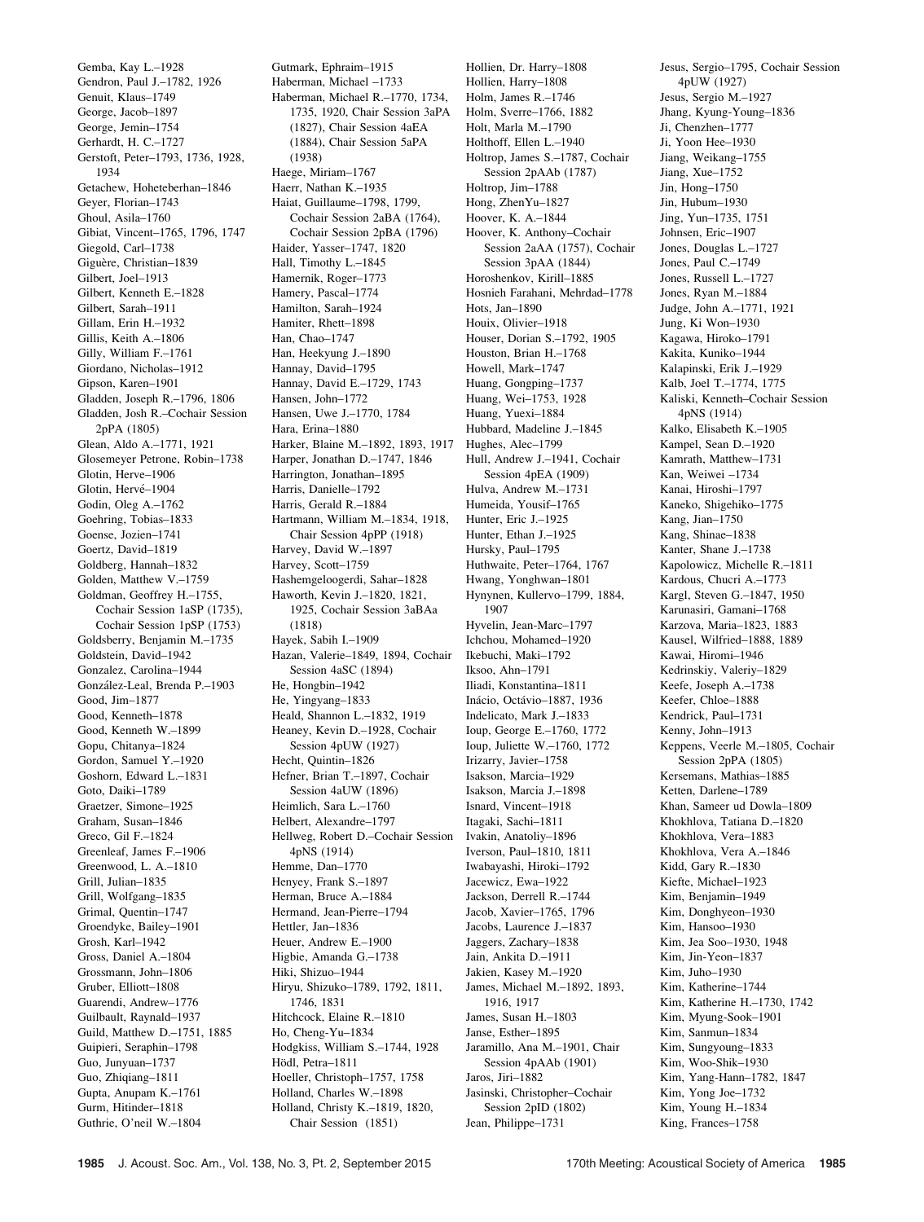Gemba, Kay L.–1928 Gendron, Paul J.–1782, 1926 Genuit, Klaus–1749 George, Jacob–1897 George, Jemin–1754 Gerhardt, H. C.–1727 Gerstoft, Peter–1793, 1736, 1928, 1934 Getachew, Hoheteberhan–1846 Geyer, Florian–1743 Ghoul, Asila–1760 Gibiat, Vincent–1765, 1796, 1747 Giegold, Carl–1738 Giguère, Christian-1839 Gilbert, Joel–1913 Gilbert, Kenneth E.–1828 Gilbert, Sarah–1911 Gillam, Erin H.–1932 Gillis, Keith A.–1806 Gilly, William F.–1761 Giordano, Nicholas–1912 Gipson, Karen–1901 Gladden, Joseph R.–1796, 1806 Gladden, Josh R.–Cochair Session 2pPA (1805) Glean, Aldo A.–1771, 1921 Glosemeyer Petrone, Robin–1738 Glotin, Herve–1906 Glotin, Hervé-1904 Godin, Oleg A.–1762 Goehring, Tobias–1833 Goense, Jozien–1741 Goertz, David–1819 Goldberg, Hannah–1832 Golden, Matthew V.–1759 Goldman, Geoffrey H.–1755, Cochair Session 1aSP (1735), Cochair Session 1pSP (1753) Goldsberry, Benjamin M.–1735 Goldstein, David–1942 Gonzalez, Carolina–1944 González-Leal, Brenda P.-1903 Good, Jim–1877 Good, Kenneth–1878 Good, Kenneth W.–1899 Gopu, Chitanya–1824 Gordon, Samuel Y.–1920 Goshorn, Edward L.–1831 Goto, Daiki–1789 Graetzer, Simone–1925 Graham, Susan–1846 Greco, Gil F.–1824 Greenleaf, James F.–1906 Greenwood, L. A.–1810 Grill, Julian–1835 Grill, Wolfgang–1835 Grimal, Quentin–1747 Groendyke, Bailey–1901 Grosh, Karl–1942 Gross, Daniel A.–1804 Grossmann, John–1806 Gruber, Elliott–1808 Guarendi, Andrew–1776 Guilbault, Raynald–1937 Guild, Matthew D.–1751, 1885 Guipieri, Seraphin–1798 Guo, Junyuan–1737 Guo, Zhiqiang–1811 Gupta, Anupam K.–1761 Gurm, Hitinder–1818 Guthrie, O'neil W.–1804

Gutmark, Ephraim–1915 Haberman, Michael –1733 Haberman, Michael R.–1770, 1734, 1735, 1920, Chair Session 3aPA (1827), Chair Session 4aEA (1884), Chair Session 5aPA (1938) Haege, Miriam–1767 Haerr, Nathan K.–1935 Haiat, Guillaume–1798, 1799, Cochair Session 2aBA (1764), Cochair Session 2pBA (1796) Haider, Yasser–1747, 1820 Hall, Timothy L.–1845 Hamernik, Roger–1773 Hamery, Pascal–1774 Hamilton, Sarah–1924 Hamiter, Rhett–1898 Han, Chao–1747 Han, Heekyung J.–1890 Hannay, David–1795 Hannay, David E.–1729, 1743 Hansen, John–1772 Hansen, Uwe J.–1770, 1784 Hara, Erina–1880 Harker, Blaine M.–1892, 1893, 1917 Harper, Jonathan D.–1747, 1846 Harrington, Jonathan–1895 Harris, Danielle–1792 Harris, Gerald R.–1884 Hartmann, William M.–1834, 1918, Chair Session 4pPP (1918) Harvey, David W.–1897 Harvey, Scott–1759 Hashemgeloogerdi, Sahar–1828 Haworth, Kevin J.–1820, 1821, 1925, Cochair Session 3aBAa (1818) Hayek, Sabih I.–1909 Hazan, Valerie–1849, 1894, Cochair Session 4aSC (1894) He, Hongbin–1942 He, Yingyang–1833 Heald, Shannon L.–1832, 1919 Heaney, Kevin D.–1928, Cochair Session 4pUW (1927) Hecht, Quintin–1826 Hefner, Brian T.–1897, Cochair Session 4aUW (1896) Heimlich, Sara L.–1760 Helbert, Alexandre–1797 Hellweg, Robert D.–Cochair Session 4pNS (1914) Hemme, Dan–1770 Henyey, Frank S.–1897 Herman, Bruce A.–1884 Hermand, Jean-Pierre–1794 Hettler, Jan–1836 Heuer, Andrew E.–1900 Higbie, Amanda G.–1738 Hiki, Shizuo–1944 Hiryu, Shizuko–1789, 1792, 1811, 1746, 1831 Hitchcock, Elaine R.–1810 Ho, Cheng-Yu–1834 Hodgkiss, William S.–1744, 1928 Hödl, Petra-1811 Hoeller, Christoph–1757, 1758 Holland, Charles W.–1898 Holland, Christy K.–1819, 1820, Chair Session (1851)

Hollien, Dr. Harry–1808 Hollien, Harry–1808 Holm, James R.–1746 Holm, Sverre–1766, 1882 Holt, Marla M.–1790 Holthoff, Ellen L.–1940 Holtrop, James S.–1787, Cochair Session 2pAAb (1787) Holtrop, Jim–1788 Hong, ZhenYu–1827 Hoover, K. A.–1844 Hoover, K. Anthony–Cochair Session 2aAA (1757), Cochair Session 3pAA (1844) Horoshenkov, Kirill–1885 Hosnieh Farahani, Mehrdad–1778 Hots, Jan–1890 Houix, Olivier–1918 Houser, Dorian S.–1792, 1905 Houston, Brian H.–1768 Howell, Mark–1747 Huang, Gongping–1737 Huang, Wei–1753, 1928 Huang, Yuexi–1884 Hubbard, Madeline J.–1845 Hughes, Alec–1799 Hull, Andrew J.–1941, Cochair Session 4pEA (1909) Hulva, Andrew M.–1731 Humeida, Yousif–1765 Hunter, Eric J.–1925 Hunter, Ethan J.–1925 Hursky, Paul–1795 Huthwaite, Peter–1764, 1767 Hwang, Yonghwan–1801 Hynynen, Kullervo–1799, 1884, 1907 Hyvelin, Jean-Marc–1797 Ichchou, Mohamed–1920 Ikebuchi, Maki–1792 Iksoo, Ahn–1791 Iliadi, Konstantina–1811 Inácio, Octávio-1887, 1936 Indelicato, Mark J.–1833 Ioup, George E.–1760, 1772 Ioup, Juliette W.–1760, 1772 Irizarry, Javier–1758 Isakson, Marcia–1929 Isakson, Marcia J.–1898 Isnard, Vincent–1918 Itagaki, Sachi–1811 Ivakin, Anatoliy–1896 Iverson, Paul–1810, 1811 Iwabayashi, Hiroki–1792 Jacewicz, Ewa–1922 Jackson, Derrell R.–1744 Jacob, Xavier–1765, 1796 Jacobs, Laurence J.–1837 Jaggers, Zachary–1838 Jain, Ankita D.–1911 Jakien, Kasey M.–1920 James, Michael M.–1892, 1893, 1916, 1917 James, Susan H.–1803 Janse, Esther–1895 Jaramillo, Ana M.–1901, Chair Session 4pAAb (1901) Jaros, Jiri–1882 Jasinski, Christopher–Cochair Session 2pID (1802) Jean, Philippe–1731

Jesus, Sergio–1795, Cochair Session 4pUW (1927) Jesus, Sergio M.–1927 Jhang, Kyung-Young–1836 Ji, Chenzhen–1777 Ji, Yoon Hee–1930 Jiang, Weikang–1755 Jiang, Xue–1752 Jin, Hong–1750 Jin, Hubum–1930 Jing, Yun–1735, 1751 Johnsen, Eric–1907 Jones, Douglas L.–1727 Jones, Paul C.–1749 Jones, Russell L.–1727 Jones, Ryan M.–1884 Judge, John A.–1771, 1921 Jung, Ki Won–1930 Kagawa, Hiroko–1791 Kakita, Kuniko–1944 Kalapinski, Erik J.–1929 Kalb, Joel T.–1774, 1775 Kaliski, Kenneth–Cochair Session 4pNS (1914) Kalko, Elisabeth K.–1905 Kampel, Sean D.–1920 Kamrath, Matthew–1731 Kan, Weiwei –1734 Kanai, Hiroshi–1797 Kaneko, Shigehiko–1775 Kang, Jian–1750 Kang, Shinae–1838 Kanter, Shane J.–1738 Kapolowicz, Michelle R.–1811 Kardous, Chucri A.–1773 Kargl, Steven G.–1847, 1950 Karunasiri, Gamani–1768 Karzova, Maria–1823, 1883 Kausel, Wilfried–1888, 1889 Kawai, Hiromi–1946 Kedrinskiy, Valeriy–1829 Keefe, Joseph A.–1738 Keefer, Chloe–1888 Kendrick, Paul–1731 Kenny, John–1913 Keppens, Veerle M.–1805, Cochair Session 2pPA (1805) Kersemans, Mathias–1885 Ketten, Darlene–1789 Khan, Sameer ud Dowla–1809 Khokhlova, Tatiana D.–1820 Khokhlova, Vera–1883 Khokhlova, Vera A.–1846 Kidd, Gary R.–1830 Kiefte, Michael–1923 Kim, Benjamin–1949 Kim, Donghyeon–1930 Kim, Hansoo–1930 Kim, Jea Soo–1930, 1948 Kim, Jin-Yeon–1837 Kim, Juho–1930 Kim, Katherine–1744 Kim, Katherine H.–1730, 1742 Kim, Myung-Sook–1901 Kim, Sanmun–1834 Kim, Sungyoung–1833 Kim, Woo-Shik–1930 Kim, Yang-Hann–1782, 1847 Kim, Yong Joe–1732 Kim, Young H.–1834

King, Frances–1758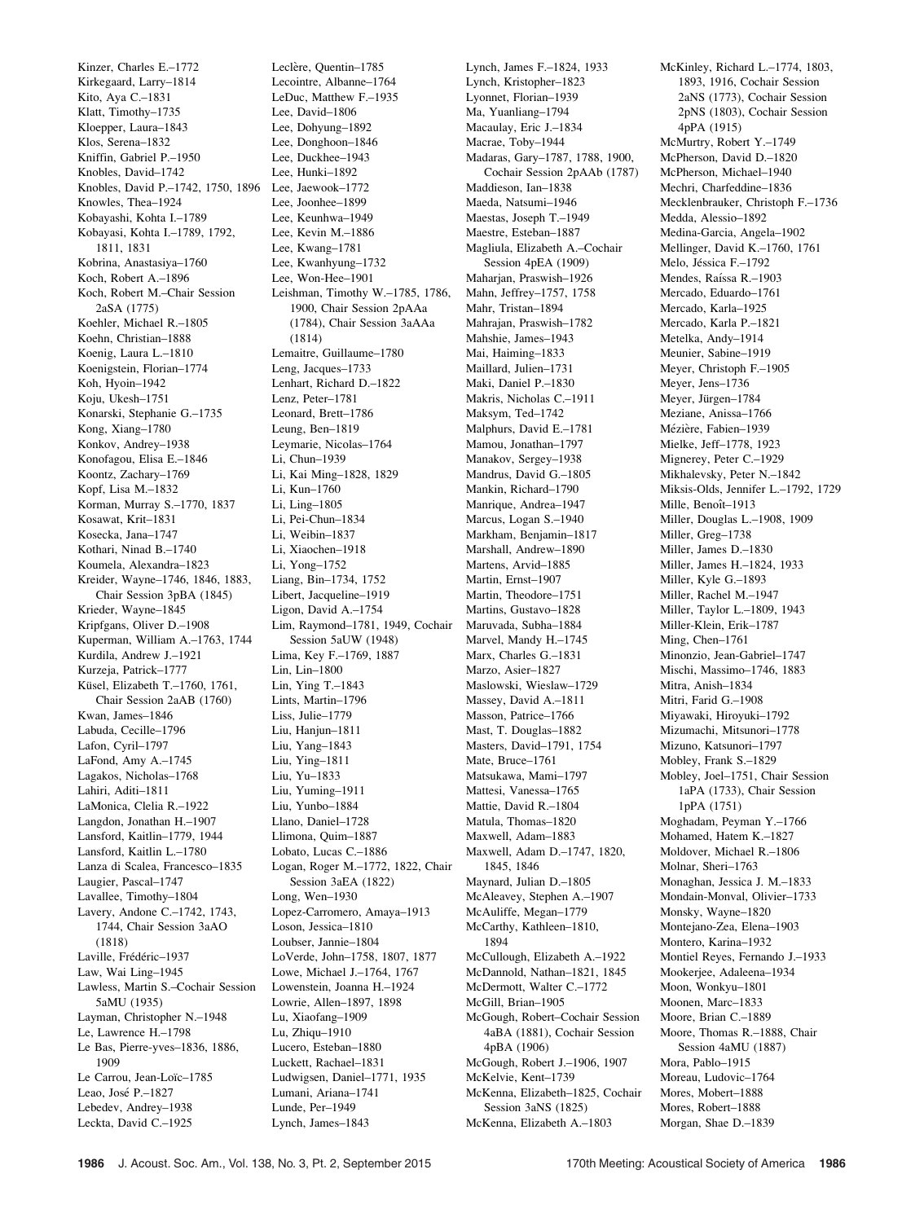Kinzer, Charles E.–1772 Kirkegaard, Larry–1814 Kito, Aya C.–1831 Klatt, Timothy–1735 Kloepper, Laura–1843 Klos, Serena–1832 Kniffin, Gabriel P.–1950 Knobles, David–1742 Knobles, David P.–1742, 1750, 1896 Knowles, Thea–1924 Kobayashi, Kohta I.–1789 Kobayasi, Kohta I.–1789, 1792, 1811, 1831 Kobrina, Anastasiya–1760 Koch, Robert A.–1896 Koch, Robert M.–Chair Session 2aSA (1775) Koehler, Michael R -1805 Koehn, Christian–1888 Koenig, Laura L.–1810 Koenigstein, Florian–1774 Koh, Hyoin–1942 Koju, Ukesh–1751 Konarski, Stephanie G.–1735 Kong, Xiang–1780 Konkov, Andrey–1938 Konofagou, Elisa E.–1846 Koontz, Zachary–1769 Kopf, Lisa M.–1832 Korman, Murray S.–1770, 1837 Kosawat, Krit–1831 Kosecka, Jana–1747 Kothari, Ninad B.–1740 Koumela, Alexandra–1823 Kreider, Wayne–1746, 1846, 1883, Chair Session 3pBA (1845) Krieder, Wayne–1845 Kripfgans, Oliver D.–1908 Kuperman, William A.–1763, 1744 Kurdila, Andrew J.–1921 Kurzeja, Patrick–1777 Küsel, Elizabeth T.–1760, 1761, Chair Session 2aAB (1760) Kwan, James–1846 Labuda, Cecille–1796 Lafon, Cyril–1797 LaFond, Amy A.–1745 Lagakos, Nicholas–1768 Lahiri, Aditi–1811 LaMonica, Clelia R.–1922 Langdon, Jonathan H.–1907 Lansford, Kaitlin–1779, 1944 Lansford, Kaitlin L.–1780 Lanza di Scalea, Francesco–1835 Laugier, Pascal–1747 Lavallee, Timothy–1804 Lavery, Andone C.–1742, 1743, 1744, Chair Session 3aAO (1818) Laville, Frédéric-1937 Law, Wai Ling–1945 Lawless, Martin S.–Cochair Session 5aMU (1935) Layman, Christopher N.–1948 Le, Lawrence H.–1798 Le Bas, Pierre-yves–1836, 1886, 1909 Le Carrou, Jean-Loïc-1785 Leao, José P.–1827 Lebedev, Andrey–1938 Leckta, David C.–1925

Leclère, Quentin-1785 Lecointre, Albanne–1764 LeDuc, Matthew F.–1935 Lee, David–1806 Lee, Dohyung–1892 Lee, Donghoon–1846 Lee, Duckhee–1943 Lee, Hunki–1892 Lee, Jaewook–1772 Lee, Joonhee–1899 Lee, Keunhwa–1949 Lee, Kevin M.–1886 Lee, Kwang–1781 Lee, Kwanhyung–1732 Lee, Won-Hee–1901 Leishman, Timothy W.–1785, 1786, 1900, Chair Session 2pAAa (1784), Chair Session 3aAAa (1814) Lemaitre, Guillaume–1780 Leng, Jacques–1733 Lenhart, Richard D.–1822 Lenz, Peter–1781 Leonard, Brett–1786 Leung, Ben–1819 Leymarie, Nicolas–1764 Li, Chun–1939 Li, Kai Ming–1828, 1829 Li, Kun–1760 Li, Ling–1805 Li, Pei-Chun–1834 Li, Weibin–1837 Li, Xiaochen–1918 Li, Yong–1752 Liang, Bin–1734, 1752 Libert, Jacqueline–1919 Ligon, David A.–1754 Lim, Raymond–1781, 1949, Cochair Session 5aUW (1948) Lima, Key F.–1769, 1887 Lin, Lin–1800 Lin, Ying T.–1843 Lints, Martin–1796 Liss, Julie–1779 Liu, Hanjun–1811 Liu, Yang–1843 Liu, Ying–1811 Liu, Yu–1833 Liu, Yuming–1911 Liu, Yunbo–1884 Llano, Daniel–1728 Llimona, Quim–1887 Lobato, Lucas C.–1886 Logan, Roger M.–1772, 1822, Chair Session 3aEA (1822) Long, Wen–1930 Lopez-Carromero, Amaya–1913 Loson, Jessica–1810 Loubser, Jannie–1804 LoVerde, John–1758, 1807, 1877 Lowe, Michael J.–1764, 1767 Lowenstein, Joanna H.–1924 Lowrie, Allen–1897, 1898 Lu, Xiaofang–1909 Lu, Zhiqu–1910 Lucero, Esteban–1880 Luckett, Rachael–1831 Ludwigsen, Daniel–1771, 1935 Lumani, Ariana–1741 Lunde, Per–1949

Lynch, James F.–1824, 1933 Lynch, Kristopher–1823 Lyonnet, Florian–1939 Ma, Yuanliang–1794 Macaulay, Eric J.–1834 Macrae, Toby–1944 Madaras, Gary–1787, 1788, 1900, Cochair Session 2pAAb (1787) Maddieson, Ian–1838 Maeda, Natsumi–1946 Maestas, Joseph T.–1949 Maestre, Esteban–1887 Magliula, Elizabeth A.–Cochair Session 4pEA (1909) Maharjan, Praswish–1926 Mahn, Jeffrey–1757, 1758 Mahr, Tristan–1894 Mahrajan, Praswish–1782 Mahshie, James–1943 Mai, Haiming–1833 Maillard, Julien–1731 Maki, Daniel P.–1830 Makris, Nicholas C.–1911 Maksym, Ted–1742 Malphurs, David E.–1781 Mamou, Jonathan–1797 Manakov, Sergey–1938 Mandrus, David G.–1805 Mankin, Richard–1790 Manrique, Andrea–1947 Marcus, Logan S.–1940 Markham, Benjamin–1817 Marshall, Andrew–1890 Martens, Arvid–1885 Martin, Ernst–1907 Martin, Theodore–1751 Martins, Gustavo–1828 Maruvada, Subha–1884 Marvel, Mandy H.–1745 Marx, Charles G.–1831 Marzo, Asier–1827 Maslowski, Wieslaw–1729 Massey, David A.–1811 Masson, Patrice–1766 Mast, T. Douglas–1882 Masters, David–1791, 1754 Mate, Bruce–1761 Matsukawa, Mami–1797 Mattesi, Vanessa–1765 Mattie, David R.–1804 Matula, Thomas–1820 Maxwell, Adam–1883 Maxwell, Adam D.–1747, 1820, 1845, 1846 Maynard, Julian D.–1805 McAleavey, Stephen A.–1907 McAuliffe, Megan–1779 McCarthy, Kathleen–1810, 1894 McCullough, Elizabeth A.–1922 McDannold, Nathan–1821, 1845 McDermott, Walter C.–1772 McGill, Brian–1905 McGough, Robert–Cochair Session 4aBA (1881), Cochair Session 4pBA (1906) McGough, Robert J.–1906, 1907 McKelvie, Kent–1739 McKenna, Elizabeth–1825, Cochair Session 3aNS (1825) McKenna, Elizabeth A.–1803

McKinley, Richard L.–1774, 1803, 1893, 1916, Cochair Session 2aNS (1773), Cochair Session 2pNS (1803), Cochair Session 4pPA (1915) McMurtry, Robert Y.–1749 McPherson, David D.–1820 McPherson, Michael–1940 Mechri, Charfeddine–1836 Mecklenbrauker, Christoph F.–1736 Medda, Alessio–1892 Medina-Garcia, Angela–1902 Mellinger, David K.–1760, 1761 Melo, Jéssica F.–1792 Mendes, Raíssa R.–1903 Mercado, Eduardo–1761 Mercado, Karla–1925 Mercado, Karla P.–1821 Metelka, Andy–1914 Meunier, Sabine–1919 Meyer, Christoph F.–1905 Meyer, Jens–1736 Meyer, Jürgen-1784 Meziane, Anissa–1766 Mézière, Fabien–1939 Mielke, Jeff–1778, 1923 Mignerey, Peter C.–1929 Mikhalevsky, Peter N.–1842 Miksis-Olds, Jennifer L.–1792, 1729 Mille, Benoît-1913 Miller, Douglas L.–1908, 1909 Miller, Greg–1738 Miller, James D.–1830 Miller, James H.–1824, 1933 Miller, Kyle G.–1893 Miller, Rachel M.–1947 Miller, Taylor L.–1809, 1943 Miller-Klein, Erik–1787 Ming, Chen–1761 Minonzio, Jean-Gabriel–1747 Mischi, Massimo–1746, 1883 Mitra, Anish–1834 Mitri, Farid G.–1908 Miyawaki, Hiroyuki–1792 Mizumachi, Mitsunori–1778 Mizuno, Katsunori–1797 Mobley, Frank S.–1829 Mobley, Joel–1751, Chair Session 1aPA (1733), Chair Session 1pPA (1751) Moghadam, Peyman Y.–1766 Mohamed, Hatem K.–1827 Moldover, Michael R.–1806 Molnar, Sheri–1763 Monaghan, Jessica J. M.–1833 Mondain-Monval, Olivier–1733 Monsky, Wayne–1820 Montejano-Zea, Elena–1903 Montero, Karina–1932 Montiel Reyes, Fernando J.–1933 Mookerjee, Adaleena–1934 Moon, Wonkyu–1801 Moonen, Marc–1833 Moore, Brian C.–1889 Moore, Thomas R.–1888, Chair Session 4aMU (1887) Mora, Pablo–1915 Moreau, Ludovic–1764 Mores, Mobert–1888 Mores, Robert–1888 Morgan, Shae D.–1839

Lynch, James–1843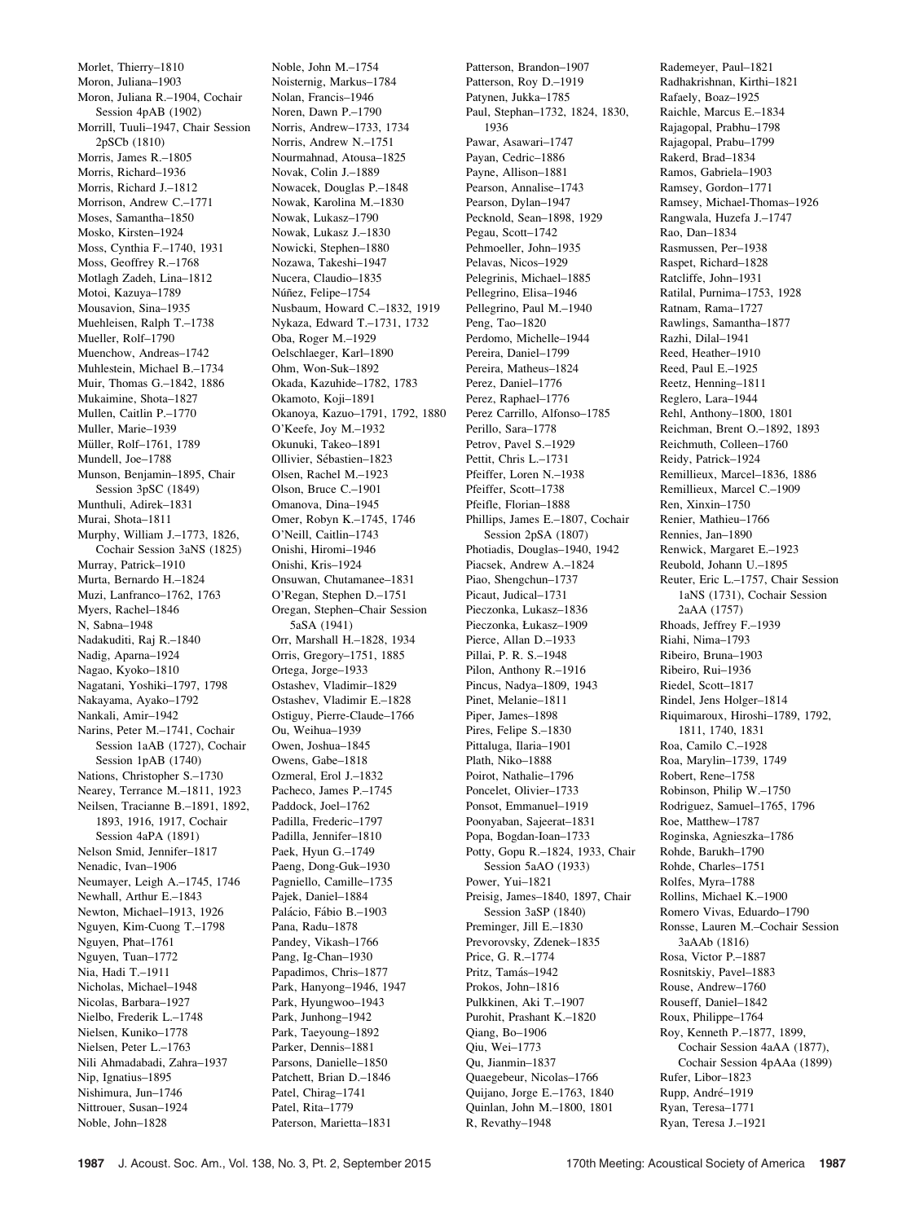Morlet, Thierry–1810 Moron, Juliana–1903 Moron, Juliana R.–1904, Cochair Session 4pAB (1902) Morrill, Tuuli–1947, Chair Session 2pSCb (1810) Morris, James R.–1805 Morris, Richard–1936 Morris, Richard J.–1812 Morrison, Andrew C.–1771 Moses, Samantha–1850 Mosko, Kirsten–1924 Moss, Cynthia F.–1740, 1931 Moss, Geoffrey R.–1768 Motlagh Zadeh, Lina–1812 Motoi, Kazuya–1789 Mousavion, Sina–1935 Muehleisen, Ralph T.–1738 Mueller, Rolf–1790 Muenchow, Andreas–1742 Muhlestein, Michael B.–1734 Muir, Thomas G.–1842, 1886 Mukaimine, Shota–1827 Mullen, Caitlin P.–1770 Muller, Marie–1939 Müller, Rolf-1761, 1789 Mundell, Joe–1788 Munson, Benjamin–1895, Chair Session 3pSC (1849) Munthuli, Adirek–1831 Murai, Shota–1811 Murphy, William J.–1773, 1826, Cochair Session 3aNS (1825) Murray, Patrick–1910 Murta, Bernardo H.–1824 Muzi, Lanfranco–1762, 1763 Myers, Rachel–1846 N, Sabna–1948 Nadakuditi, Raj R.–1840 Nadig, Aparna–1924 Nagao, Kyoko–1810 Nagatani, Yoshiki–1797, 1798 Nakayama, Ayako–1792 Nankali, Amir–1942 Narins, Peter M -1741, Cochair Session 1aAB (1727), Cochair Session 1pAB (1740) Nations, Christopher S.–1730 Nearey, Terrance M.–1811, 1923 Neilsen, Tracianne B.–1891, 1892, 1893, 1916, 1917, Cochair Session 4aPA (1891) Nelson Smid, Jennifer–1817 Nenadic, Ivan–1906 Neumayer, Leigh A.–1745, 1746 Newhall, Arthur E.–1843 Newton, Michael–1913, 1926 Nguyen, Kim-Cuong T.–1798 Nguyen, Phat–1761 Nguyen, Tuan–1772 Nia, Hadi T.–1911 Nicholas, Michael–1948 Nicolas, Barbara–1927 Nielbo, Frederik L.–1748 Nielsen, Kuniko–1778 Nielsen, Peter L.–1763 Nili Ahmadabadi, Zahra–1937 Nip, Ignatius–1895 Nishimura, Jun–1746 Nittrouer, Susan–1924 Noble, John–1828

Noble, John M.–1754 Noisternig, Markus–1784 Nolan, Francis–1946 Noren, Dawn P.–1790 Norris, Andrew–1733, 1734 Norris, Andrew N.–1751 Nourmahnad, Atousa–1825 Novak, Colin J.–1889 Nowacek, Douglas P.–1848 Nowak, Karolina M.–1830 Nowak, Lukasz–1790 Nowak, Lukasz J.–1830 Nowicki, Stephen–1880 Nozawa, Takeshi–1947 Nucera, Claudio–1835 Núñez, Felipe-1754 Nusbaum, Howard C.–1832, 1919 Nykaza, Edward T.–1731, 1732 Oba, Roger M.–1929 Oelschlaeger, Karl–1890 Ohm, Won-Suk–1892 Okada, Kazuhide–1782, 1783 Okamoto, Koji–1891 Okanoya, Kazuo–1791, 1792, 1880 O'Keefe, Joy M.–1932 Okunuki, Takeo–1891 Ollivier, Sébastien-1823 Olsen, Rachel M.–1923 Olson, Bruce C.–1901 Omanova, Dina–1945 Omer, Robyn K.–1745, 1746 O'Neill, Caitlin–1743 Onishi, Hiromi–1946 Onishi, Kris–1924 Onsuwan, Chutamanee–1831 O'Regan, Stephen D.–1751 Oregan, Stephen–Chair Session 5aSA (1941) Orr, Marshall H.–1828, 1934 Orris, Gregory–1751, 1885 Ortega, Jorge–1933 Ostashev, Vladimir–1829 Ostashev, Vladimir E.–1828 Ostiguy, Pierre-Claude–1766 Ou, Weihua–1939 Owen, Joshua–1845 Owens, Gabe–1818 Ozmeral, Erol J.–1832 Pacheco, James P.–1745 Paddock, Joel–1762 Padilla, Frederic–1797 Padilla, Jennifer–1810 Paek, Hyun G.–1749 Paeng, Dong-Guk–1930 Pagniello, Camille–1735 Pajek, Daniel–1884 Palácio, Fábio B.-1903 Pana, Radu–1878 Pandey, Vikash–1766 Pang, Ig-Chan–1930 Papadimos, Chris–1877 Park, Hanyong–1946, 1947 Park, Hyungwoo–1943 Park, Junhong–1942 Park, Taeyoung–1892 Parker, Dennis–1881 Parsons, Danielle–1850 Patchett, Brian D.–1846 Patel, Chirag–1741 Patel, Rita–1779 Paterson, Marietta–1831

Patterson, Brandon–1907 Patterson, Roy D.–1919 Patynen, Jukka–1785 Paul, Stephan–1732, 1824, 1830, 1936 Pawar, Asawari–1747 Payan, Cedric–1886 Payne, Allison–1881 Pearson, Annalise–1743 Pearson, Dylan–1947 Pecknold, Sean–1898, 1929 Pegau, Scott–1742 Pehmoeller, John–1935 Pelavas, Nicos–1929 Pelegrinis, Michael–1885 Pellegrino, Elisa–1946 Pellegrino, Paul M.–1940 Peng, Tao–1820 Perdomo, Michelle–1944 Pereira, Daniel–1799 Pereira, Matheus–1824 Perez, Daniel–1776 Perez, Raphael–1776 Perez Carrillo, Alfonso–1785 Perillo, Sara–1778 Petrov, Pavel S.–1929 Pettit, Chris L.–1731 Pfeiffer, Loren N.–1938 Pfeiffer, Scott–1738 Pfeifle, Florian–1888 Phillips, James E.–1807, Cochair Session 2pSA (1807) Photiadis, Douglas–1940, 1942 Piacsek, Andrew A.–1824 Piao, Shengchun–1737 Picaut, Judical–1731 Pieczonka, Lukasz–1836 Pieczonka, Łukasz–1909 Pierce, Allan D.–1933 Pillai, P. R. S.–1948 Pilon, Anthony R.–1916 Pincus, Nadya–1809, 1943 Pinet, Melanie–1811 Piper, James–1898 Pires, Felipe S.–1830 Pittaluga, Ilaria–1901 Plath, Niko–1888 Poirot, Nathalie–1796 Poncelet, Olivier–1733 Ponsot, Emmanuel–1919 Poonyaban, Sajeerat–1831 Popa, Bogdan-Ioan–1733 Potty, Gopu R.–1824, 1933, Chair Session 5aAO (1933) Power, Yui–1821 Preisig, James–1840, 1897, Chair Session 3aSP (1840) Preminger, Jill E.–1830 Prevorovsky, Zdenek–1835 Price, G. R.–1774 Pritz, Tamás-1942 Prokos, John–1816 Pulkkinen, Aki T.–1907 Purohit, Prashant K.–1820 Qiang, Bo–1906 Qiu, Wei–1773 Qu, Jianmin–1837 Quaegebeur, Nicolas–1766 Quijano, Jorge E.–1763, 1840 Quinlan, John M.–1800, 1801

R, Revathy–1948

Rademeyer, Paul–1821 Radhakrishnan, Kirthi–1821 Rafaely, Boaz–1925 Raichle, Marcus E.–1834 Rajagopal, Prabhu–1798 Rajagopal, Prabu–1799 Rakerd, Brad–1834 Ramos, Gabriela–1903 Ramsey, Gordon–1771 Ramsey, Michael-Thomas–1926 Rangwala, Huzefa J.–1747 Rao, Dan–1834 Rasmussen, Per–1938 Raspet, Richard–1828 Ratcliffe, John–1931 Ratilal, Purnima–1753, 1928 Ratnam, Rama–1727 Rawlings, Samantha–1877 Razhi, Dilal–1941 Reed, Heather–1910 Reed, Paul E.–1925 Reetz, Henning–1811 Reglero, Lara–1944 Rehl, Anthony–1800, 1801 Reichman, Brent O.–1892, 1893 Reichmuth, Colleen–1760 Reidy, Patrick–1924 Remillieux, Marcel–1836, 1886 Remillieux, Marcel C.–1909 Ren, Xinxin–1750 Renier, Mathieu–1766 Rennies, Jan–1890 Renwick, Margaret E.–1923 Reubold, Johann U.–1895 Reuter, Eric L.–1757, Chair Session 1aNS (1731), Cochair Session 2aAA (1757) Rhoads, Jeffrey F.–1939 Riahi, Nima–1793 Ribeiro, Bruna–1903 Ribeiro, Rui–1936 Riedel, Scott–1817 Rindel, Jens Holger–1814 Riquimaroux, Hiroshi–1789, 1792, 1811, 1740, 1831 Roa, Camilo C.–1928 Roa, Marylin–1739, 1749 Robert, Rene–1758 Robinson, Philip W.–1750 Rodriguez, Samuel–1765, 1796 Roe, Matthew–1787 Roginska, Agnieszka–1786 Rohde, Barukh–1790 Rohde, Charles–1751 Rolfes, Myra–1788 Rollins, Michael K.–1900 Romero Vivas, Eduardo–1790 Ronsse, Lauren M.–Cochair Session 3aAAb (1816) Rosa, Victor P.–1887 Rosnitskiy, Pavel–1883 Rouse, Andrew–1760 Rouseff, Daniel–1842 Roux, Philippe–1764 Roy, Kenneth P.–1877, 1899, Cochair Session 4aAA (1877), Cochair Session 4pAAa (1899) Rufer, Libor–1823 Rupp, André-1919 Ryan, Teresa–1771

Ryan, Teresa J.–1921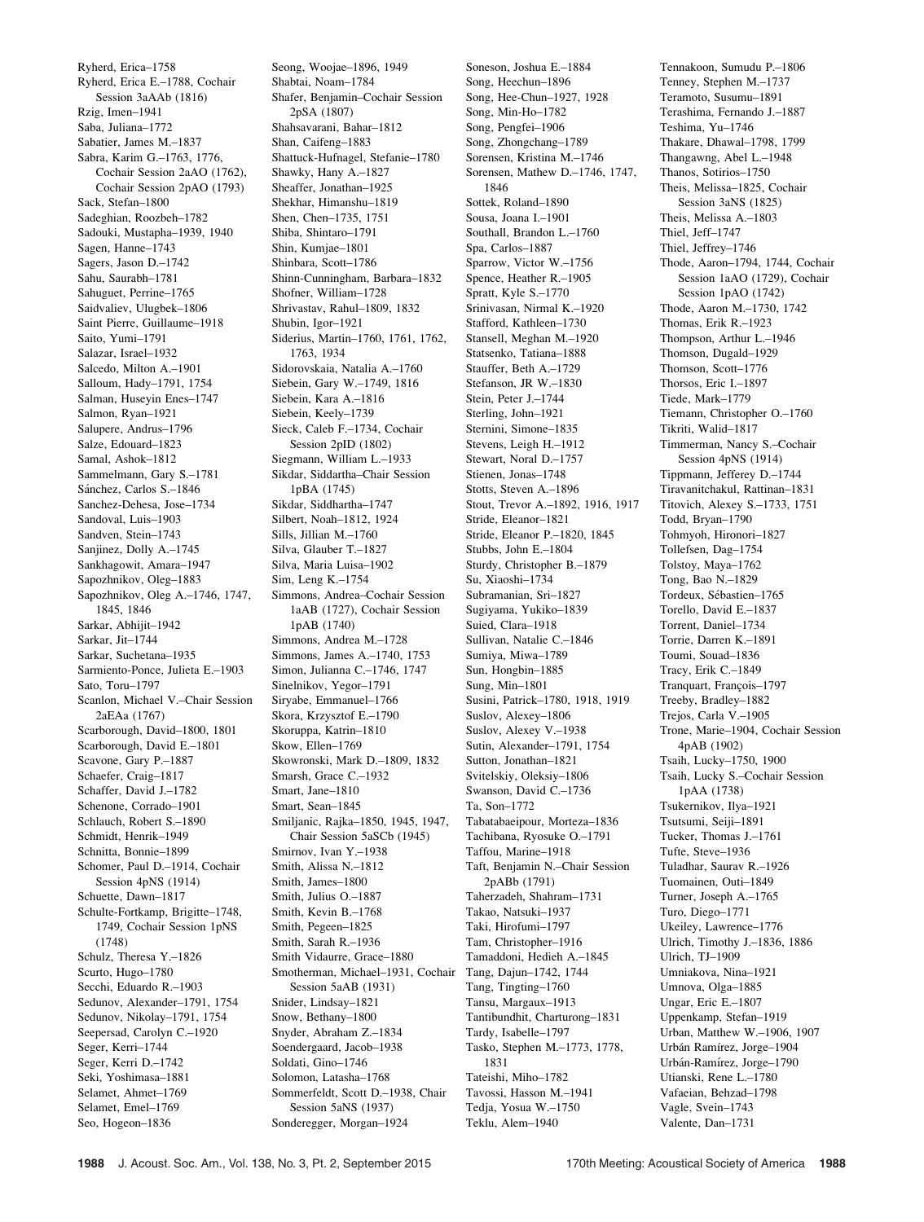Ryherd, Erica–1758 Ryherd, Erica E.–1788, Cochair Session 3aAAb (1816) Rzig, Imen–1941 Saba, Juliana–1772 Sabatier, James M.–1837 Sabra, Karim G.–1763, 1776, Cochair Session 2aAO (1762), Cochair Session 2pAO (1793) Sack, Stefan–1800 Sadeghian, Roozbeh–1782 Sadouki, Mustapha–1939, 1940 Sagen, Hanne–1743 Sagers, Jason D.–1742 Sahu, Saurabh–1781 Sahuguet, Perrine–1765 Saidvaliev, Ulugbek–1806 Saint Pierre, Guillaume–1918 Saito, Yumi–1791 Salazar, Israel–1932 Salcedo, Milton A.–1901 Salloum, Hady–1791, 1754 Salman, Huseyin Enes–1747 Salmon, Ryan–1921 Salupere, Andrus–1796 Salze, Edouard–1823 Samal, Ashok–1812 Sammelmann, Gary S.–1781 Sánchez, Carlos S.-1846 Sanchez-Dehesa, Jose–1734 Sandoval, Luis–1903 Sandven, Stein–1743 Sanjinez, Dolly A.–1745 Sankhagowit, Amara–1947 Sapozhnikov, Oleg–1883 Sapozhnikov, Oleg A.–1746, 1747, 1845, 1846 Sarkar, Abhijit–1942 Sarkar, Jit–1744 Sarkar, Suchetana–1935 Sarmiento-Ponce, Julieta E.–1903 Sato, Toru–1797 Scanlon, Michael V.–Chair Session 2aEAa (1767) Scarborough, David–1800, 1801 Scarborough, David E.–1801 Scavone, Gary P.–1887 Schaefer, Craig–1817 Schaffer, David J.–1782 Schenone, Corrado–1901 Schlauch, Robert S.–1890 Schmidt, Henrik–1949 Schnitta, Bonnie–1899 Schomer, Paul D.–1914, Cochair Session 4pNS (1914) Schuette, Dawn–1817 Schulte-Fortkamp, Brigitte–1748, 1749, Cochair Session 1pNS (1748) Schulz, Theresa Y.–1826 Scurto, Hugo–1780 Secchi, Eduardo R.–1903 Sedunov, Alexander–1791, 1754 Sedunov, Nikolay–1791, 1754 Seepersad, Carolyn C.–1920 Seger, Kerri–1744 Seger, Kerri D.–1742 Seki, Yoshimasa–1881 Selamet, Ahmet–1769 Selamet, Emel–1769 Seo, Hogeon–1836

Seong, Woojae–1896, 1949 Shabtai, Noam–1784 Shafer, Benjamin–Cochair Session 2pSA (1807) Shahsavarani, Bahar–1812 Shan, Caifeng–1883 Shattuck-Hufnagel, Stefanie–1780 Shawky, Hany A.–1827 Sheaffer, Jonathan–1925 Shekhar, Himanshu–1819 Shen, Chen–1735, 1751 Shiba, Shintaro–1791 Shin, Kumjae–1801 Shinbara, Scott–1786 Shinn-Cunningham, Barbara–1832 Shofner, William–1728 Shrivastav, Rahul–1809, 1832 Shubin, Igor–1921 Siderius, Martin–1760, 1761, 1762, 1763, 1934 Sidorovskaia, Natalia A.–1760 Siebein, Gary W.–1749, 1816 Siebein, Kara A.–1816 Siebein, Keely–1739 Sieck, Caleb F.–1734, Cochair Session 2pID (1802) Siegmann, William L.–1933 Sikdar, Siddartha–Chair Session 1pBA (1745) Sikdar, Siddhartha–1747 Silbert, Noah–1812, 1924 Sills, Jillian M.–1760 Silva, Glauber T.–1827 Silva, Maria Luisa–1902 Sim, Leng K.–1754 Simmons, Andrea–Cochair Session 1aAB (1727), Cochair Session 1pAB (1740) Simmons, Andrea M.–1728 Simmons, James A.–1740, 1753 Simon, Julianna C.–1746, 1747 Sinelnikov, Yegor–1791 Siryabe, Emmanuel–1766 Skora, Krzysztof E.–1790 Skoruppa, Katrin–1810 Skow, Ellen–1769 Skowronski, Mark D.–1809, 1832 Smarsh, Grace C.–1932 Smart, Jane–1810 Smart, Sean–1845 Smiljanic, Rajka–1850, 1945, 1947, Chair Session 5aSCb (1945) Smirnov, Ivan Y.–1938 Smith, Alissa N.–1812 Smith, James–1800 Smith, Julius O.–1887 Smith, Kevin B.–1768 Smith, Pegeen–1825 Smith, Sarah R.–1936 Smith Vidaurre, Grace–1880 Smotherman, Michael–1931, Cochair Tang, Dajun–1742, 1744 Session 5aAB (1931) Snider, Lindsay–1821 Snow, Bethany–1800 Snyder, Abraham Z.–1834 Soendergaard, Jacob–1938 Soldati, Gino–1746 Solomon, Latasha–1768 Sommerfeldt, Scott D.–1938, Chair Session 5aNS (1937) Sonderegger, Morgan–1924

Soneson, Joshua E.–1884 Song, Heechun–1896 Song, Hee-Chun–1927, 1928 Song, Min-Ho–1782 Song, Pengfei–1906 Song, Zhongchang–1789 Sorensen, Kristina M.–1746 Sorensen, Mathew D.–1746, 1747, 1846 Sottek, Roland–1890 Sousa, Joana I.–1901 Southall, Brandon L.–1760 Spa, Carlos–1887 Sparrow, Victor W.–1756 Spence, Heather R.–1905 Spratt, Kyle S.–1770 Srinivasan, Nirmal K.–1920 Stafford, Kathleen–1730 Stansell, Meghan M.–1920 Statsenko, Tatiana–1888 Stauffer, Beth A.–1729 Stefanson, JR W.–1830 Stein, Peter J.–1744 Sterling, John–1921 Sternini, Simone–1835 Stevens, Leigh H.–1912 Stewart, Noral D.–1757 Stienen, Jonas–1748 Stotts, Steven A.–1896 Stout, Trevor A.–1892, 1916, 1917 Stride, Eleanor–1821 Stride, Eleanor P.–1820, 1845 Stubbs, John E.–1804 Sturdy, Christopher B.–1879 Su, Xiaoshi–1734 Subramanian, Sri–1827 Sugiyama, Yukiko–1839 Suied, Clara–1918 Sullivan, Natalie C.–1846 Sumiya, Miwa–1789 Sun, Hongbin–1885 Sung, Min–1801 Susini, Patrick–1780, 1918, 1919 Suslov, Alexey–1806 Suslov, Alexey V.–1938 Sutin, Alexander–1791, 1754 Sutton, Jonathan–1821 Svitelskiy, Oleksiy–1806 Swanson, David C.–1736 Ta, Son–1772 Tabatabaeipour, Morteza–1836 Tachibana, Ryosuke O.–1791 Taffou, Marine–1918 Taft, Benjamin N.–Chair Session 2pABb (1791) Taherzadeh, Shahram–1731 Takao, Natsuki–1937 Taki, Hirofumi–1797 Tam, Christopher–1916 Tamaddoni, Hedieh A.–1845 Tang, Tingting–1760 Tansu, Margaux–1913 Tantibundhit, Charturong–1831 Tardy, Isabelle–1797 Tasko, Stephen M.–1773, 1778, 1831 Tateishi, Miho–1782 Tavossi, Hasson M.–1941 Tedja, Yosua W.–1750 Teklu, Alem–1940

Tennakoon, Sumudu P.–1806 Tenney, Stephen M.–1737 Teramoto, Susumu–1891 Terashima, Fernando J.–1887 Teshima, Yu–1746 Thakare, Dhawal–1798, 1799 Thangawng, Abel L.–1948 Thanos, Sotirios–1750 Theis, Melissa–1825, Cochair Session 3aNS (1825) Theis, Melissa A.–1803 Thiel, Jeff–1747 Thiel, Jeffrey–1746 Thode, Aaron–1794, 1744, Cochair Session 1aAO (1729), Cochair Session 1pAO (1742) Thode, Aaron M.–1730, 1742 Thomas, Erik R -1923 Thompson, Arthur L.–1946 Thomson, Dugald–1929 Thomson, Scott–1776 Thorsos, Eric I.–1897 Tiede, Mark–1779 Tiemann, Christopher O.–1760 Tikriti, Walid–1817 Timmerman, Nancy S.–Cochair Session 4pNS (1914) Tippmann, Jefferey D.–1744 Tiravanitchakul, Rattinan–1831 Titovich, Alexey S.–1733, 1751 Todd, Bryan–1790 Tohmyoh, Hironori–1827 Tollefsen, Dag–1754 Tolstoy, Maya–1762 Tong, Bao N.–1829 Tordeux, Sébastien-1765 Torello, David E.–1837 Torrent, Daniel–1734 Torrie, Darren K.–1891 Toumi, Souad–1836 Tracy, Erik C.–1849 Tranquart, François-1797 Treeby, Bradley–1882 Trejos, Carla V.–1905 Trone, Marie–1904, Cochair Session 4pAB (1902) Tsaih, Lucky–1750, 1900 Tsaih, Lucky S.–Cochair Session 1pAA (1738) Tsukernikov, Ilya–1921 Tsutsumi, Seiji–1891 Tucker, Thomas J.–1761 Tufte, Steve–1936 Tuladhar, Saurav R.–1926 Tuomainen, Outi–1849 Turner, Joseph A.–1765 Turo, Diego–1771 Ukeiley, Lawrence–1776 Ulrich, Timothy J.–1836, 1886 Ulrich, TJ–1909 Umniakova, Nina–1921 Umnova, Olga–1885 Ungar, Eric E.–1807 Uppenkamp, Stefan–1919 Urban, Matthew W.–1906, 1907 Urbán Ramírez, Jorge-1904 Urbán-Ramírez, Jorge-1790 Utianski, Rene L.–1780 Vafaeian, Behzad–1798 Vagle, Svein–1743 Valente, Dan–1731